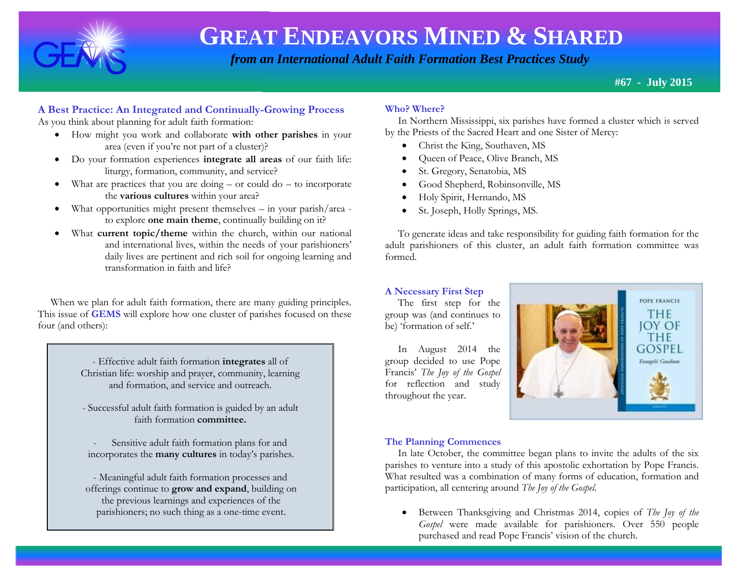

 *from an International Adult Faith Formation Best Practices Study*

**#67 - July 2015**

### **A Best Practice: An Integrated and Continually-Growing Process**

As you think about planning for adult faith formation:

- How might you work and collaborate **with other parishes** in your area (even if you're not part of a cluster)?
- Do your formation experiences **integrate all areas** of our faith life: liturgy, formation, community, and service?
- $\bullet$  What are practices that you are doing or could do to incorporate the **various cultures** within your area?
- What opportunities might present themselves in your parish/area to explore **one main theme**, continually building on it?
- What **current topic/theme** within the church, within our national and international lives, within the needs of your parishioners' daily lives are pertinent and rich soil for ongoing learning and transformation in faith and life?

When we plan for adult faith formation, there are many guiding principles. This issue of **GEMS** will explore how one cluster of parishes focused on these four (and others):

> - Effective adult faith formation **integrates** all of Christian life: worship and prayer, community, learning and formation, and service and outreach.

> - Successful adult faith formation is guided by an adult faith formation **committee.**

Sensitive adult faith formation plans for and incorporates the **many cultures** in today's parishes.

- Meaningful adult faith formation processes and offerings continue to **grow and expand**, building on the previous learnings and experiences of the parishioners; no such thing as a one-time event.

#### **Who? Where?**

 In Northern Mississippi, six parishes have formed a cluster which is served by the Priests of the Sacred Heart and one Sister of Mercy:

- Christ the King, Southaven, MS
- Queen of Peace, Olive Branch, MS
- St. Gregory, Senatobia, MS
- Good Shepherd, Robinsonville, MS
- Holy Spirit, Hernando, MS
- St. Joseph, Holly Springs, MS.

 To generate ideas and take responsibility for guiding faith formation for the adult parishioners of this cluster, an adult faith formation committee was formed.

#### **A Necessary First Step**

 The first step for the group was (and continues to be) 'formation of self.'

 In August 2014 the group decided to use Pope Francis' *The Joy of the Gospel* for reflection and study throughout the year.



#### **The Planning Commences**

 In late October, the committee began plans to invite the adults of the six parishes to venture into a study of this apostolic exhortation by Pope Francis. What resulted was a combination of many forms of education, formation and participation, all centering around *The Joy of the Gospel.*

 Between Thanksgiving and Christmas 2014, copies of *The Joy of the Gospel* were made available for parishioners. Over 550 people purchased and read Pope Francis' vision of the church.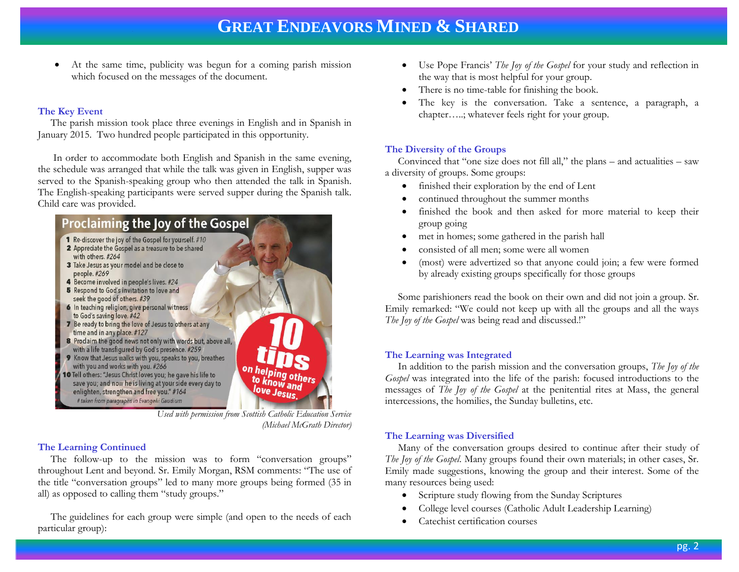At the same time, publicity was begun for a coming parish mission which focused on the messages of the document.

#### **The Key Event**

 The parish mission took place three evenings in English and in Spanish in January 2015. Two hundred people participated in this opportunity.

 In order to accommodate both English and Spanish in the same evening, the schedule was arranged that while the talk was given in English, supper was served to the Spanish-speaking group who then attended the talk in Spanish. The English-speaking participants were served supper during the Spanish talk. Child care was provided.



*Used with permission from Scottish Catholic Education Service (Michael McGrath Director)*

#### **The Learning Continued**

 The follow-up to the mission was to form "conversation groups" throughout Lent and beyond. Sr. Emily Morgan, RSM comments: "The use of the title "conversation groups" led to many more groups being formed (35 in all) as opposed to calling them "study groups."

 The guidelines for each group were simple (and open to the needs of each particular group):

- Use Pope Francis' *The Joy of the Gospel* for your study and reflection in the way that is most helpful for your group.
- There is no time-table for finishing the book.
- The key is the conversation. Take a sentence, a paragraph, a chapter…..; whatever feels right for your group.

#### **The Diversity of the Groups**

 Convinced that "one size does not fill all," the plans – and actualities – saw a diversity of groups. Some groups:

- finished their exploration by the end of Lent
- continued throughout the summer months
- finished the book and then asked for more material to keep their group going
- met in homes; some gathered in the parish hall
- consisted of all men; some were all women
- (most) were advertized so that anyone could join; a few were formed by already existing groups specifically for those groups

 Some parishioners read the book on their own and did not join a group. Sr. Emily remarked: "We could not keep up with all the groups and all the ways *The Joy of the Gospel* was being read and discussed.!"

#### **The Learning was Integrated**

 In addition to the parish mission and the conversation groups, *The Joy of the Gospel* was integrated into the life of the parish: focused introductions to the messages of *The Joy of the Gospel* at the penitential rites at Mass, the general intercessions, the homilies, the Sunday bulletins, etc.

#### **The Learning was Diversified**

 Many of the conversation groups desired to continue after their study of *The Joy of the Gospel*. Many groups found their own materials; in other cases, Sr. Emily made suggestions, knowing the group and their interest. Some of the many resources being used:

- Scripture study flowing from the Sunday Scriptures
- College level courses (Catholic Adult Leadership Learning)
- Catechist certification courses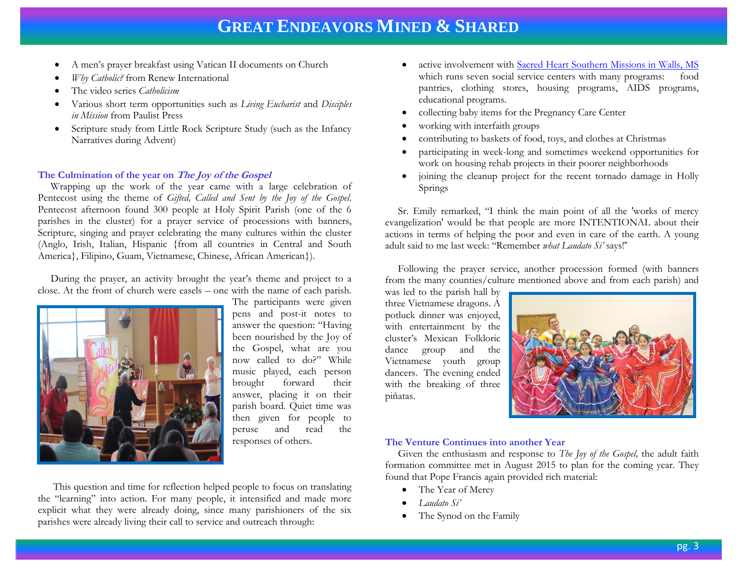- A men's prayer breakfast using Vatican II documents on Church
- *Why Catholic?* from Renew International
- The video series *Catholicism*
- Various short term opportunities such as *Living Eucharist* and *Disciples in Mission* from Paulist Press
- Scripture study from Little Rock Scripture Study (such as the Infancy Narratives during Advent)

#### **The Culmination of the year on The Joy of the Gospel**

 Wrapping up the work of the year came with a large celebration of Pentecost using the theme of *Gifted, Called and Sent by the Joy of the Gospel*. Pentecost afternoon found 300 people at Holy Spirit Parish (one of the 6 parishes in the cluster) for a prayer service of processions with banners, Scripture, singing and prayer celebrating the many cultures within the cluster (Anglo, Irish, Italian, Hispanic {from all countries in Central and South America}, Filipino, Guam, Vietnamese, Chinese, African American}).

 During the prayer, an activity brought the year's theme and project to a close. At the front of church were easels – one with the name of each parish.



The participants were given pens and post-it notes to answer the question: "Having been nourished by the Joy of the Gospel, what are you now called to do?" While music played, each person brought forward their answer, placing it on their parish board. Quiet time was then given for people to peruse and read the responses of others.

 This question and time for reflection helped people to focus on translating the "learning" into action. For many people, it intensified and made more explicit what they were already doing, since many parishioners of the six parishes were already living their call to service and outreach through:

- active involvement with [Sacred Heart Southern Missions in Walls, MS](http://www.shsm.org/site/PageServer?pagename=homepage) which runs seven social service centers with many programs: food pantries, clothing stores, housing programs, AIDS programs, educational programs.
- collecting baby items for the Pregnancy Care Center
- working with interfaith groups
- contributing to baskets of food, toys, and clothes at Christmas
- participating in week-long and sometimes weekend opportunities for work on housing rehab projects in their poorer neighborhoods
- joining the cleanup project for the recent tornado damage in Holly Springs

 Sr. Emily remarked, "I think the main point of all the 'works of mercy evangelization' would be that people are more INTENTIONAL about their actions in terms of helping the poor and even in care of the earth. A young adult said to me last week: "Remember *what Laudato Si'* says!"

 Following the prayer service, another procession formed (with banners from the many counties/culture mentioned above and from each parish) and

was led to the parish hall by three Vietnamese dragons. A potluck dinner was enjoyed, with entertainment by the cluster's Mexican Folkloric dance group and the Vietnamese youth group dancers. The evening ended with the breaking of three piñatas.



#### **The Venture Continues into another Year**

 Given the enthusiasm and response to *The Joy of the Gospel,* the adult faith formation committee met in August 2015 to plan for the coming year. They found that Pope Francis again provided rich material:

- The Year of Mercy
- *Laudato Si'*
- The Synod on the Family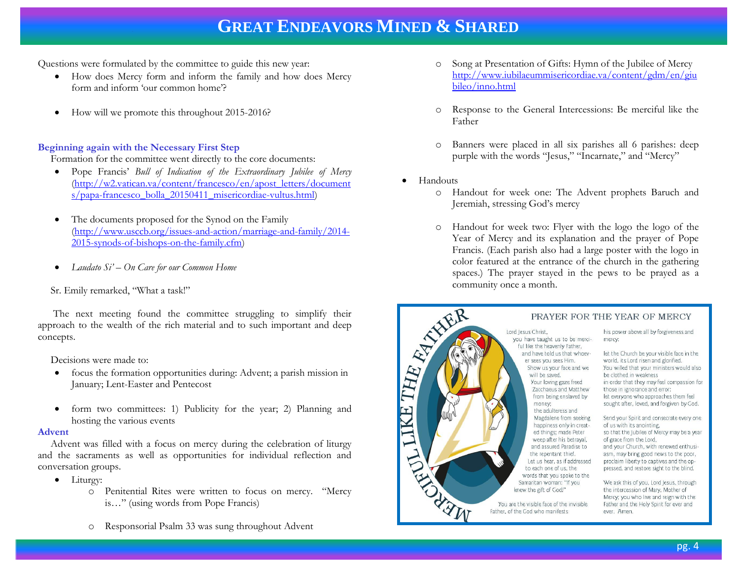Questions were formulated by the committee to guide this new year:

- How does Mercy form and inform the family and how does Mercy form and inform 'our common home'?
- How will we promote this throughout 2015-2016?

#### **Beginning again with the Necessary First Step**

Formation for the committee went directly to the core documents:

- Pope Francis' *Bull of Indication of the Extraordinary Jubilee of Mercy* [\(http://w2.vatican.va/content/francesco/en/apost\\_letters/document](http://w2.vatican.va/content/francesco/en/apost_letters/documents/papa-francesco_bolla_20150411_misericordiae-vultus.html) [s/papa-francesco\\_bolla\\_20150411\\_misericordiae-vultus.html\)](http://w2.vatican.va/content/francesco/en/apost_letters/documents/papa-francesco_bolla_20150411_misericordiae-vultus.html)
- The documents proposed for the Synod on the Family [\(http://www.usccb.org/issues-and-action/marriage-and-family/2014-](http://www.usccb.org/issues-and-action/marriage-and-family/2014-2015-synods-of-bishops-on-the-family.cfm) [2015-synods-of-bishops-on-the-family.cfm\)](http://www.usccb.org/issues-and-action/marriage-and-family/2014-2015-synods-of-bishops-on-the-family.cfm)
- *Laudato Si' – On Care for our Common Home*

#### Sr. Emily remarked, "What a task!"

 The next meeting found the committee struggling to simplify their approach to the wealth of the rich material and to such important and deep concepts.

Decisions were made to:

- focus the formation opportunities during: Advent; a parish mission in January; Lent-Easter and Pentecost
- form two committees: 1) Publicity for the year; 2) Planning and hosting the various events

#### **Advent**

 Advent was filled with a focus on mercy during the celebration of liturgy and the sacraments as well as opportunities for individual reflection and conversation groups.

- Liturgy:
	- o Penitential Rites were written to focus on mercy. "Mercy is…" (using words from Pope Francis)
	- o Responsorial Psalm 33 was sung throughout Advent
- o Song at Presentation of Gifts: Hymn of the Jubilee of Mercy [http://www.iubilaeummisericordiae.va/content/gdm/en/giu](http://www.iubilaeummisericordiae.va/content/gdm/en/giubileo/inno.html) [bileo/inno.html](http://www.iubilaeummisericordiae.va/content/gdm/en/giubileo/inno.html)
- o Response to the General Intercessions: Be merciful like the Father
- o Banners were placed in all six parishes all 6 parishes: deep purple with the words "Jesus," "Incarnate," and "Mercy"
- Handouts
	- o Handout for week one: The Advent prophets Baruch and Jeremiah, stressing God's mercy
	- o Handout for week two: Flyer with the logo the logo of the Year of Mercy and its explanation and the prayer of Pope Francis. (Each parish also had a large poster with the logo in color featured at the entrance of the church in the gathering spaces.) The prayer stayed in the pews to be prayed as a community once a month.

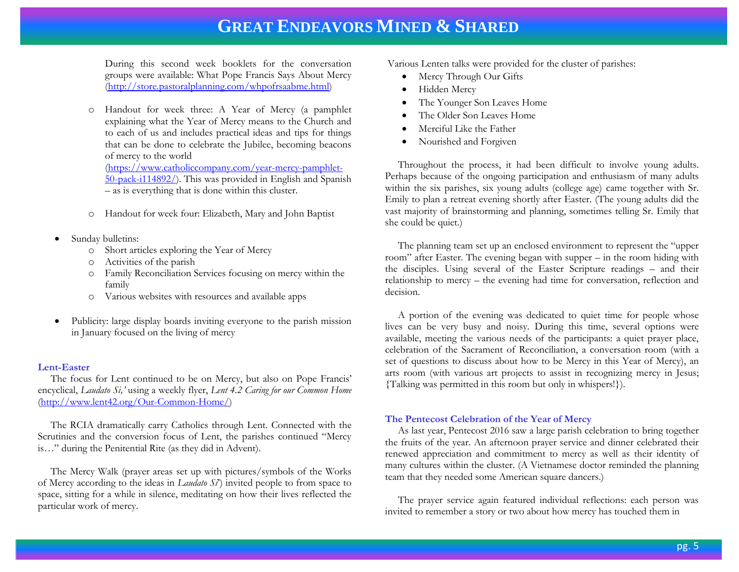During this second week booklets for the conversation groups were available: What Pope Francis Says About Mercy [\(http://store.pastoralplanning.com/whpofrsaabme.html\)](http://store.pastoralplanning.com/whpofrsaabme.html)

o Handout for week three: A Year of Mercy (a pamphlet explaining what the Year of Mercy means to the Church and to each of us and includes practical ideas and tips for things that can be done to celebrate the Jubilee, becoming beacons of mercy to the world [\(https://www.catholiccompany.com/year-mercy-pamphlet-](https://www.catholiccompany.com/year-mercy-pamphlet-50-pack-i114892/)

[50-pack-i114892/\)](https://www.catholiccompany.com/year-mercy-pamphlet-50-pack-i114892/). This was provided in English and Spanish – as is everything that is done within this cluster.

- o Handout for week four: Elizabeth, Mary and John Baptist
- Sunday bulletins:
	- o Short articles exploring the Year of Mercy
	- Activities of the parish
	- o Family Reconciliation Services focusing on mercy within the family
	- o Various websites with resources and available apps
- Publicity: large display boards inviting everyone to the parish mission in January focused on the living of mercy

#### **Lent-Easter**

 The focus for Lent continued to be on Mercy, but also on Pope Francis' encyclical, *Laudato Si,'* using a weekly flyer, *Lent 4.2 Caring for our Common Home* [\(http://www.lent42.org/Our-Common-Home/\)](http://www.lent42.org/Our-Common-Home/)

 The RCIA dramatically carry Catholics through Lent. Connected with the Scrutinies and the conversion focus of Lent, the parishes continued "Mercy is…" during the Penitential Rite (as they did in Advent).

 The Mercy Walk (prayer areas set up with pictures/symbols of the Works of Mercy according to the ideas in *Laudato Si*') invited people to from space to space, sitting for a while in silence, meditating on how their lives reflected the particular work of mercy.

Various Lenten talks were provided for the cluster of parishes:

- Mercy Through Our Gifts
- Hidden Mercy
- The Younger Son Leaves Home
- The Older Son Leaves Home
- Merciful Like the Father
- Nourished and Forgiven

 Throughout the process, it had been difficult to involve young adults. Perhaps because of the ongoing participation and enthusiasm of many adults within the six parishes, six young adults (college age) came together with Sr. Emily to plan a retreat evening shortly after Easter. (The young adults did the vast majority of brainstorming and planning, sometimes telling Sr. Emily that she could be quiet.)

 The planning team set up an enclosed environment to represent the "upper room" after Easter. The evening began with supper – in the room hiding with the disciples. Using several of the Easter Scripture readings – and their relationship to mercy – the evening had time for conversation, reflection and decision.

 A portion of the evening was dedicated to quiet time for people whose lives can be very busy and noisy. During this time, several options were available, meeting the various needs of the participants: a quiet prayer place, celebration of the Sacrament of Reconciliation, a conversation room (with a set of questions to discuss about how to be Mercy in this Year of Mercy), an arts room (with various art projects to assist in recognizing mercy in Jesus; {Talking was permitted in this room but only in whispers!}).

#### **The Pentecost Celebration of the Year of Mercy**

 As last year, Pentecost 2016 saw a large parish celebration to bring together the fruits of the year. An afternoon prayer service and dinner celebrated their renewed appreciation and commitment to mercy as well as their identity of many cultures within the cluster. (A Vietnamese doctor reminded the planning team that they needed some American square dancers.)

 The prayer service again featured individual reflections: each person was invited to remember a story or two about how mercy has touched them in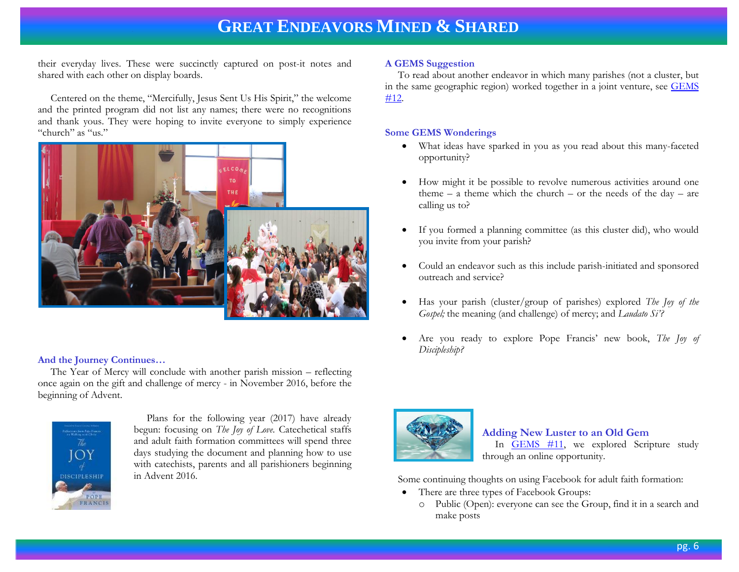their everyday lives. These were succinctly captured on post-it notes and shared with each other on display boards.

 Centered on the theme, "Mercifully, Jesus Sent Us His Spirit," the welcome and the printed program did not list any names; there were no recognitions and thank yous. They were hoping to invite everyone to simply experience "church" as "us."



#### **And the Journey Continues…**

The Year of Mercy will conclude with another parish mission – reflecting once again on the gift and challenge of mercy - in November 2016, before the beginning of Advent.



 Plans for the following year (2017) have already begun: focusing on *The Joy of Love.* Catechetical staffs and adult faith formation committees will spend three days studying the document and planning how to use with catechists, parents and all parishioners beginning in Advent 2016.

#### **A GEMS Suggestion**

 To read about another endeavor in which many parishes (not a cluster, but in the same geographic region) worked together in a joint venture, see [GEMS](http://www.janetschaeffler.com/Gems__12.pdfGEMS)  [#12.](http://www.janetschaeffler.com/Gems__12.pdfGEMS)

#### **Some GEMS Wonderings**

- What ideas have sparked in you as you read about this many-faceted opportunity?
- How might it be possible to revolve numerous activities around one theme  $-$  a theme which the church  $-$  or the needs of the day  $-$  are calling us to?
- If you formed a planning committee (as this cluster did), who would you invite from your parish?
- Could an endeavor such as this include parish-initiated and sponsored outreach and service?
- Has your parish (cluster/group of parishes) explored *The Joy of the Gospel;* the meaning (and challenge) of mercy; and *Laudato Si'?*
- Are you ready to explore Pope Francis' new book, *The Joy of Discipleship?*



#### **Adding New Luster to an Old Gem**

In **GEMS** #11, we explored Scripture study through an online opportunity.

Some continuing thoughts on using Facebook for adult faith formation:

- There are three types of Facebook Groups:
	- o Public (Open): everyone can see the Group, find it in a search and make posts